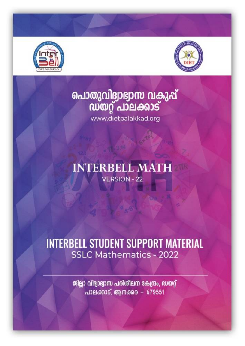



# പൊതുവിദ്വാഭ്വാസ വകുപ്പ്<br>സയറ്റ് പാലക്കാട്

www.dietpalakkad.org

# **INTERBELL MATH VERSION - 22**

# **INTERBELL STUDENT SUPPORT MATERIAL SSLC Mathematics - 2022**

ജില്ലാ വിദ്വാഭ്വാസ പരിശീലന കേന്ദ്രം, ഡയറ്റ് പാലക്കാട്, ആനക്കര - 679551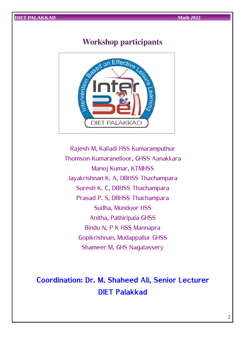### **Workshop participants**



Rajesh M, Kalladi HSS Kumaramputhur Thomson Kumaranelloor, GHSS Aanakkara Manoj Kumar, KTMHSS Jayakrishnan K. A, DBHSS Thachampara Suresh K. C, DBHSS Thachampara Prasad P. S, DBHSS Thachampara Sudha, Mundoor HSS Anitha, Pathiripala GHSS Bindu N, P K HSS Mannapra Gopikrishnan, Mudappallur GHSS Shameer M, GHS Nagalassery

# **Coordination: Dr. M. Shaheed Ali, Senior Lecturer DIET Palakkad**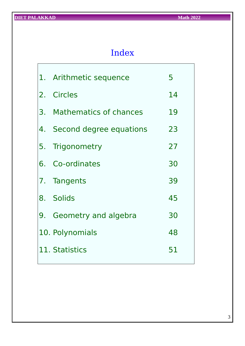# Index

|  | 1. Arithmetic sequence     | 5  |
|--|----------------------------|----|
|  | 2. Circles                 | 14 |
|  | 3. Mathematics of chances  | 19 |
|  | 4. Second degree equations | 23 |
|  | 5. Trigonometry            | 27 |
|  | 6. Co-ordinates            | 30 |
|  | 7. Tangents                | 39 |
|  | 8. Solids                  | 45 |
|  | 9. Geometry and algebra    | 30 |
|  | 10. Polynomials            | 48 |
|  | 11. Statistics             | 51 |
|  |                            |    |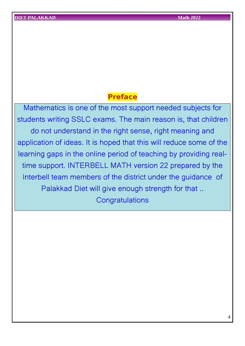### **Preface**

Mathematics is one of the most support needed subjects for students writing SSLC exams. The main reason is, that children do not understand in the right sense, right meaning and application of ideas. It is hoped that this will reduce some of the learning gaps in the online period of teaching by providing realtime support. INTERBELL MATH version 22 prepared by the Interbell team members of the district under the guidance of Palakkad Diet will give enough strength for that .. **Congratulations**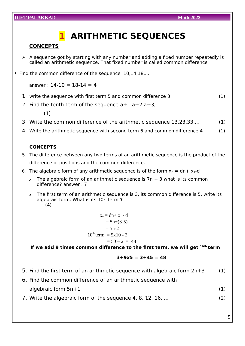# **1 ARITHMETIC SEQUENCES**

#### **CONCEPTS**

- $\triangleright$  A sequence got by starting with any number and adding a fixed number repeatedly is called an arithmetic sequence. That fixed number is called common difference
- Find the common difference of the sequence 10,14,18,...

answer :  $14-10 = 18-14 = 4$ 

- 1. write the sequence with first term 5 and common difference 3 (1)
- 2. Find the tenth term of the sequence  $a+1$ ,  $a+2$ ,  $a+3$ ,...

(1)

- 3. Write the common difference of the arithmetic sequence 13,23,33,... (1)
- 4. Write the arithmetic sequence with second term 6 and common difference 4 (1)

#### **CONCEPTS**

- 5. The difference between any two terms of an arithmetic sequence is the product of the difference of positions and the common difference.
- 6. The algebraic form of any arithmetic sequence is of the form  $x_n = dn + x_1$ -d
	- $x$  The algebraic form of an arithmetic sequence is  $7n + 3$  what is its common difference? answer : 7
	- $x$  The first term of an arithmetic sequence is 3, its common difference is 5, write its algebraic form. What is its 10th term **?** (4)

 $x_n = dn + x_1 - d$  $= 5n + (3-5)$  $= 5n-2$  $10^{th}$  term = 5x10 - 2  $= 50 - 2 = 48$ 

 **If we add 9 times common difference to the first term, we will get 10th term**

$$
3+9x5 = 3+45 = 48
$$

- 5. Find the first term of an arithmetic sequence with algebraic form  $2n+3$  (1)
- 6. Find the common difference of an arithmetic sequence with algebraic form 5n+1 (1)
- 7. Write the algebraic form of the sequence 4, 8, 12, 16, ... (2)

5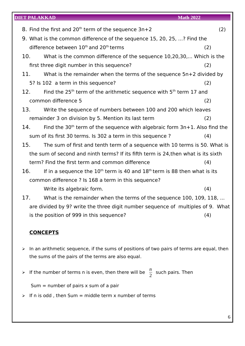| <b>DIET PALAKKAD</b> |                                                                                    | <b>Math 2022</b> |
|----------------------|------------------------------------------------------------------------------------|------------------|
|                      | 8. Find the first and $20th$ term of the sequence $3n+2$                           | (2)              |
|                      | 9. What is the common difference of the sequence 15, 20, 25, ? Find the            |                  |
|                      | difference between $10th$ and $20th$ terms                                         | (2)              |
| 10.                  | What is the common difference of the sequence 10,20,30, Which is the               |                  |
|                      | first three digit number in this sequence?                                         | (2)              |
| 11.                  | What is the remainder when the terms of the sequence $5n+2$ divided by             |                  |
|                      | 5? Is 102 a term in this sequence?                                                 | (2)              |
|                      |                                                                                    |                  |
| 12.                  | Find the $25th$ term of the arithmetic sequence with $5th$ term 17 and             |                  |
|                      | common difference 5                                                                | (2)              |
| 13.                  | Write the sequence of numbers between 100 and 200 which leaves                     |                  |
|                      | remainder 3 on division by 5. Mention its last term                                | (2)              |
| 14.                  | Find the $30th$ term of the sequence with algebraic form $3n+1$ . Also find the    |                  |
|                      | sum of its first 30 terms. Is 302 a term in this sequence?                         | (4)              |
| 15.                  | The sum of first and tenth term of a sequence with 10 terms is 50. What is         |                  |
|                      | the sum of second and ninth terms? If its fifth term is 24, then what is its sixth |                  |
|                      | term? Find the first term and common difference                                    | (4)              |
| 16.                  | If in a sequence the $10th$ term is 40 and $18th$ term is 88 then what is its      |                  |
|                      | common difference ? Is 168 a term in this sequence?                                |                  |
|                      | Write its algebraic form.                                                          | (4)              |
| 17.                  | What is the remainder when the terms of the sequence 100, 109, 118,                |                  |
|                      | are divided by 9? write the three digit number sequence of multiples of 9. What    |                  |
|                      | is the position of 999 in this sequence?                                           | (4)              |

#### **CONCEPTS**

- ➢ In an arithmetic sequence, if the sums of positions of two pairs of terms are equal, then the sums of the pairs of the terms are also equal.
- $\triangleright$  If the number of terms n is even, then there will be  $\frac{n}{2}$  such pairs. Then

Sum  $=$  number of pairs  $x$  sum of a pair

 $\triangleright$  If n is odd, then Sum = middle term x number of terms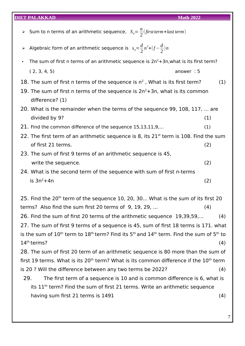- $\triangleright$  Sum to n terms of an arithmetic sequence,  $S_n = \frac{n}{2}$  $\frac{n}{2}$ (first *term* + *last term*)
- $\triangleright$  Algebraic form of an arithmetic sequence is  $s_n = \frac{d}{2}$ 2  $n^2+(f-\frac{d}{2})$  $\frac{a}{2}$ )*n*
- The sum of first n terms of an arithmetic sequence is  $2n^2+3n$ , what is its first term? ( 2, 3, 4, 5) answer : 5
- 18. The sum of first n terms of the sequence is  $n^2$ , What is its first term? (1)
- 19. The sum of first n terms of the sequence is  $2n^2+3n$ , what is its common difference? (1)
- 20. What is the remainder when the terms of the sequence 99, 108, 117, ... are  $\frac{divided by 9?}{(1)}$
- 21. Find the common difference of the sequence 15,13,11,9,... (1)
- 22. The first term of an arithmetic sequence is 8, its  $21<sup>st</sup>$  term is 108. Find the sum of first 21 terms. (2)
- 23. The sum of first 9 terms of an arithmetic sequence is 45, write the sequence. (2)
- 24. What is the second term of the sequence with sum of first n-terms  $\sin^2 4n$  (2)

25. Find the  $20<sup>th</sup>$  term of the sequence 10, 20, 30... What is the sum of its first 20 terms? Also find the sum first 20 terms of 9, 19, 29, ... (4) 26. Find the sum of first 20 terms of the arithmetic sequence 19,39,59,... (4) 27. The sum of first 9 terms of a sequence is 45, sum of first 18 terms is 171. what is the sum of  $10^{th}$  term to  $18^{th}$  term? Find its  $5^{th}$  and  $14^{th}$  term. Find the sum of  $5^{th}$  to  $14<sup>th</sup>$  terms? (4) 28. The sum of first 20 term of an arithmetic sequence is 80 more than the sum of first 19 terms. What is its  $20<sup>th</sup>$  term? What is its common difference if the  $10<sup>th</sup>$  term is 20 ? Will the difference between any two terms be 2022? (4) 29. The first term of a sequence is 10 and is common difference is 6, what is

its 11<sup>th</sup> term? Find the sum of first 21 terms. Write an arithmetic sequence having sum first 21 terms is 1491 (4)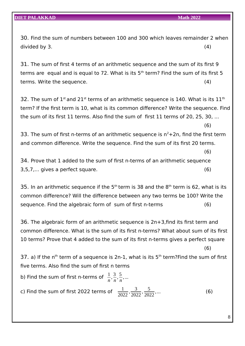(6)

(6)

30. Find the sum of numbers between 100 and 300 which leaves remainder 2 when  $divided by 3.$  (4)

31. The sum of first 4 terms of an arithmetic sequence and the sum of its first 9 terms are equal and is equal to 72. What is its  $5<sup>th</sup>$  term? Find the sum of its first 5 terms. Write the sequence. (4)

32. The sum of  $1^{\text{st}}$  and 21st terms of an arithmetic sequence is 140. What is its  $11^{\text{th}}$ term? If the first term is 10, what is its common difference? Write the sequence. Find the sum of its first 11 terms. Also find the sum of first 11 terms of 20, 25, 30, ...

33. The sum of first n-terms of an arithmetic sequence is  $n^2+2n$ , find the first term and common difference. Write the sequence. Find the sum of its first 20 terms.

34. Prove that 1 added to the sum of first n-terms of an arithmetic sequence 3,5,7,... gives a perfect square. (6)

35. In an arithmetic sequence if the  $5<sup>th</sup>$  term is 38 and the  $8<sup>th</sup>$  term is 62, what is its common difference? Will the difference between any two terms be 100? Write the sequence. Find the algebraic form of sum of first n-terms (6)

36. The algebraic form of an arithmetic sequence is 2n+3,find its first term and common difference. What is the sum of its first n-terms? What about sum of its first 10 terms? Prove that 4 added to the sum of its first n-terms gives a perfect square (6)

37. a) If the n<sup>th</sup> term of a sequence is 2n-1, what is its  $5<sup>th</sup>$  term? Find the sum of first five terms. Also find the sum of first n terms

b) Find the sum of first n-terms of  $\,\frac{1}{n}\,$ *,* 3 *n ,* 5 *n ,* ... c) Find the sum of first 2022 terms of  $\frac{1}{2022}$ <sup>3</sup> 2022 *,* 5  $\frac{3}{2022}$ , ... (6)

8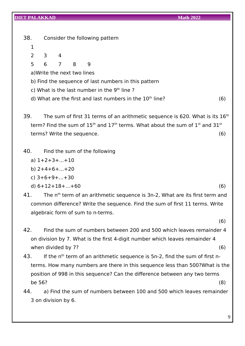38. Consider the following pattern

- 1
- 2 3 4
- 5 6 7 8 9
- a)Write the next two lines
- b) Find the sequence of last numbers in this pattern
- c) What is the last number in the  $9<sup>th</sup>$  line ?
- d) What are the first and last numbers in the  $10<sup>th</sup>$  line?  $(6)$
- 39. The sum of first 31 terms of an arithmetic sequence is 620. What is its  $16<sup>th</sup>$ term? Find the sum of  $15<sup>th</sup>$  and  $17<sup>th</sup>$  terms. What about the sum of  $1<sup>st</sup>$  and  $31<sup>st</sup>$ terms? Write the sequence. (6)
- 40. Find the sum of the following
	- a)  $1+2+3+...+10$
	- b) 2+4+6+...+20
	- c) 3+6+9+...+30
	- d)  $6+12+18+...+60$  (6)
- 41. The n<sup>th</sup> term of an arithmetic sequence is 3n-2, What are its first term and common difference? Write the sequence. Find the sum of first 11 terms. Write algebraic form of sum to n-terms.
	- (6)
- 42. Find the sum of numbers between 200 and 500 which leaves remainder 4 on division by 7. What is the first 4-digit number which leaves remainder 4 when divided by  $7$ ?  $(6)$
- 43. If the  $n<sup>th</sup>$  term of an arithmetic sequence is 5n-2, find the sum of first nterms. How many numbers are there in this sequence less than 500?What is the position of 998 in this sequence? Can the difference between any two terms be 56? (8)
- 44. a) Find the sum of numbers between 100 and 500 which leaves remainder 3 on division by 6.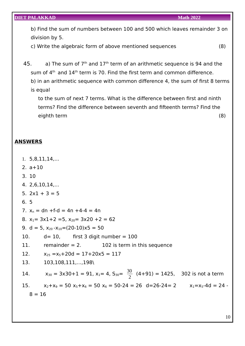b) Find the sum of numbers between 100 and 500 which leaves remainder 3 on division by 5.

c) Write the algebraic form of above mentioned sequences (8)

45. a) The sum of  $7<sup>th</sup>$  and  $17<sup>th</sup>$  term of an arithmetic sequence is 94 and the sum of  $4<sup>th</sup>$  and  $14<sup>th</sup>$  term is 70. Find the first term and common difference. b) in an arithmetic sequence with common difference 4, the sum of first 8 terms is equal

to the sum of next 7 terms. What is the difference between first and ninth terms? Find the difference between seventh and fifteenth terms? Find the eighth term (8)

#### **A NSWERS**

- 1. 5,8,11,14,...
- 2. a+10
- 3. 10
- 4. 2,6,10,14,...
- 5.  $2x1 + 3 = 5$
- 6. 5
- 7.  $x_n = dn + f-d = 4n + 4-4 = 4n$
- 8.  $x_1 = 3x1 + 2 = 5$ ,  $x_{20} = 3x20 + 2 = 62$
- 9. d = 5,  $x_{20} x_{10} = (20-10)x5 = 50$
- 10.  $d= 10$ , first 3 digit number = 100
- 11. remainder  $= 2$ . 102 is term in this sequence
- 12.  $x_{25} = x_5 + 20d = 17 + 20x5 = 117$
- 13. 103,108,111,...,198\

14.  $x_{30} = 3x30 + 1 = 91$ ,  $x_1 = 4$ ,  $S_{30} = \frac{30}{3}$  $\frac{20}{2}$  (4+91) = 1425, 302 is not a term 15.  $x_2+x_9 = 50$   $x_5+x_6 = 50$   $x_6 = 50-24 = 26$   $d=26-24= 2$   $x_1=x_5-4d = 24$ 

 $8 = 16$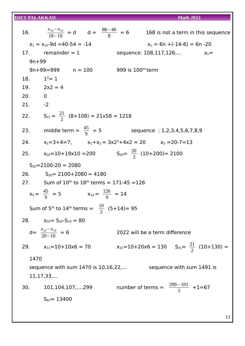|               | 16. $\frac{x_{18} - x_{10}}{18 - 10} = d$ $d = \frac{88 - 40}{8} = 6$ 168 is not a term in this sequence |                                                           |  |
|---------------|----------------------------------------------------------------------------------------------------------|-----------------------------------------------------------|--|
|               | $x_1 = x_{10} - 9d = 40 - 54 = -14$                                                                      | $x_n = 6n + (-14-6) = 6n - 20$                            |  |
|               | 17. remainder $= 1$                                                                                      | sequence: $108, 117, 126,$ $x_n =$                        |  |
| $9n + 99$     |                                                                                                          |                                                           |  |
|               | $9n+99=999$ $n = 100$ 999 is 100 <sup>th</sup> term                                                      |                                                           |  |
| 18. $1^2 = 1$ |                                                                                                          |                                                           |  |
|               | 19. $2x^2 = 4$                                                                                           |                                                           |  |
| 20.0          |                                                                                                          |                                                           |  |
| $21.  -2$     |                                                                                                          |                                                           |  |
|               | 22. $S_{21} = \frac{21}{2}$ (8+108) = 21x58 = 1218                                                       |                                                           |  |
|               | 23. middle term = $\frac{45}{9}$ = 5                                                                     | sequence: 1,2,3,4,5,6,7,8,9                               |  |
|               | 24. $x_1=3+4=7$ , $x_1+x_2=3x2^2+4x2=20$ $x_2=20-7=13$                                                   |                                                           |  |
|               | 25. $x_{20} = 10 + 19 \times 10 = 200$ $S_{20} = \frac{20}{2} (10 + 200) = 2100$                         |                                                           |  |
|               | $S_{20} = 2100 - 20 = 2080$                                                                              |                                                           |  |
|               | 26. $S_{20} = 2100 + 2080 = 4180$                                                                        |                                                           |  |
|               | 27. Sum of $10^{th}$ to $18^{th}$ terms = 171-45 = 126                                                   |                                                           |  |
|               | $x_5 = \frac{45}{9} = 5$ $x_{14} = \frac{126}{9} = 14$                                                   |                                                           |  |
|               | Sum of 5 <sup>th</sup> to 14 <sup>th</sup> terms = $\frac{10}{2}$ (5+14)= 95                             |                                                           |  |
|               | 28. $x_{20} = S_{20} - S_{19} = 80$                                                                      |                                                           |  |
|               | $d = \frac{x_{20} - x_{10}}{20 - 10} = 6$                                                                | 2022 will be a term difference                            |  |
|               | 29. $x_{11} = 10 + 10 \times 6 = 70$                                                                     | $x_{21}=10+20\times 6=130$ $S_{21}=\frac{21}{2}(10+130)=$ |  |
| 1470          |                                                                                                          |                                                           |  |
|               | sequence with sum 1470 is 10,16,22, sequence with sum 1491 is<br>11, 17, 33,                             |                                                           |  |
|               | 30. 101,104,107,299                                                                                      | number of terms = $\frac{299-101}{3}$ +1=67               |  |
|               | $S_{67} = 13400$                                                                                         |                                                           |  |
|               |                                                                                                          |                                                           |  |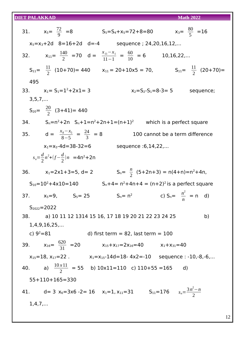| $x_3 = \frac{80}{5} = 16$<br>31. $x_5 = \frac{72}{9} = 8$<br>$S_5 = S_4 + x_5 = 72 + 8 = 80$                    |
|-----------------------------------------------------------------------------------------------------------------|
| $x_5 = x_3 + 2d$ 8=16+2d d=-4 sequence; 24,20,16,12,                                                            |
| 32. $x_{11} = \frac{140}{2} = 70$ d = $\frac{x_{11} - x_1}{11 - 1} = \frac{60}{10} = 6$<br>$10, 16, 22, \ldots$ |
| $S_{11} = \frac{11}{2}$ (10+70) = 440 $x_{11} = 20+10 \times 5 = 70$ , $S_{11} = \frac{11}{2}$ (20+70) =        |
| 495                                                                                                             |
| 33. $x_1 = S_1 = 1^2 + 2 \times 1 = 3$<br>$x_2 = S_2 - S_1 = 8 - 3 = 5$ sequence;                               |
| $3, 5, 7, \ldots$                                                                                               |
| $S_{20} = \frac{20}{2}$ (3+41)= 440                                                                             |
| 34. $S_n=n^2+2n$ $S_n+1=n^2+2n+1=(n+1)^2$ which is a perfect square                                             |
| 35. $d = \frac{x_8 - x_5}{8 - 5} = \frac{24}{3} = 8$<br>100 cannot be a term difference                         |
| $x_1 = x_5 - 4d = 38 - 32 = 6$<br>sequence :6,14,22,                                                            |
| $s_n = \frac{d}{2} n^2 + (f - \frac{d}{2}) n = 4n^2 + 2n$                                                       |
| $S_n = \frac{n}{2}$ (5+2n+3) = n(4+n)=n <sup>2</sup> +4n,<br>36. $x_1=2x1+3=5$ , d= 2                           |
| $S_{10} = 10^2 + 4 \times 10 = 140$<br>$S_n + 4 = n^2 + 4n + 4 = (n+2)^2$ is a perfect square                   |
| c) $S_n = \frac{n^2}{n} = n$ d)<br>$S_n = n^2$<br>37. $x_5=9$ , $S_5=25$                                        |
| $S_{2022} = 2022$                                                                                               |
| b)<br>38. a) 10 11 12 1314 15 16, 17 18 19 20 21 22 23 24 25                                                    |
| 1,4,9,16,25,                                                                                                    |
| c) $9^2 = 81$<br>d) first term $= 82$ , last term $= 100$                                                       |
| 39. $x_{16} = \frac{620}{31} = 20$<br>$x_{15}+x_{17}=2x_{16}=40$ $x_1+x_{31}=40$                                |
| $x_{15} = 18$ , $x_{17} = 22$ . $x_1 = x_{15} - 14d = 18 - 4x^2 = -10$ sequence : -10,-8,-6,                    |
| 40. a) $\frac{10 \times 11}{2}$ = 55 b) 10x11=110 c) 110+55 =165 d)                                             |
| $55+110+165=330$                                                                                                |
| 41. d= 3 $x_6$ =3x6 -2= 16 $x_1$ =1, $x_{11}$ =31 $S_{11}$ =176 $s_n = \frac{3n^2 - n}{2}$                      |
| $1, 4, 7, \ldots$                                                                                               |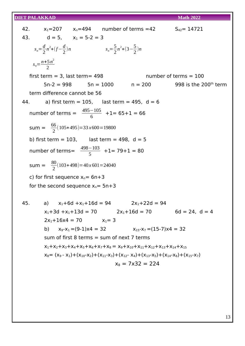|                                                   |                                                     |                                             |                                                                                   | 42. $x_1 = 207$ $x_0 = 494$ number of terms = 42 $S_{42} = 14721$                                                         |  |
|---------------------------------------------------|-----------------------------------------------------|---------------------------------------------|-----------------------------------------------------------------------------------|---------------------------------------------------------------------------------------------------------------------------|--|
|                                                   | 43. $d = 5$ , $x_1 = 5-2 = 3$                       |                                             |                                                                                   |                                                                                                                           |  |
| $s_n = \frac{d}{2} n^2 + (f - \frac{d}{2}) n$     |                                                     | $s_n = \frac{5}{2}n^2 + (3 - \frac{5}{2})n$ |                                                                                   |                                                                                                                           |  |
| $s_n = \frac{n+5n^2}{2}$                          |                                                     |                                             |                                                                                   |                                                                                                                           |  |
|                                                   | first term $=$ 3, last term $=$ 498                 |                                             |                                                                                   | number of terms $= 100$                                                                                                   |  |
|                                                   |                                                     |                                             |                                                                                   | $5n-2 = 998$ $5n = 1000$ $n = 200$ 998 is the 200 <sup>th</sup> term                                                      |  |
|                                                   | term difference cannot be 56                        |                                             |                                                                                   |                                                                                                                           |  |
|                                                   |                                                     |                                             | 44. a) first term = $105$ , last term = 495, d = 6                                |                                                                                                                           |  |
|                                                   | number of terms = $\frac{495-105}{6}$ +1= 65+1 = 66 |                                             |                                                                                   |                                                                                                                           |  |
|                                                   | sum = $\frac{66}{2}$ (105+495)=33x600=19800         |                                             |                                                                                   |                                                                                                                           |  |
|                                                   | b) first term = $103$ , last term = 498, d = 5      |                                             |                                                                                   |                                                                                                                           |  |
|                                                   | number of terms= $\frac{498-103}{5}$ +1= 79+1 = 80  |                                             |                                                                                   |                                                                                                                           |  |
| sum = $\frac{80}{2}(103+498)=40 \times 601=24040$ |                                                     |                                             |                                                                                   |                                                                                                                           |  |
| c) for first sequence $x_n = 6n+3$                |                                                     |                                             |                                                                                   |                                                                                                                           |  |
|                                                   | for the second sequence $x_n = 5n+3$                |                                             |                                                                                   |                                                                                                                           |  |
|                                                   |                                                     |                                             |                                                                                   |                                                                                                                           |  |
|                                                   |                                                     |                                             | 45. a) $x_1+6d +x_1+16d = 94$ $2x_1+22d = 94$                                     | $x_1 + 3d + x_1 + 13d = 70$ $2x_1 + 16d = 70$ $6d = 24$ , $d = 4$                                                         |  |
|                                                   | $2x_1+16x4 = 70$ $x_1=3$                            |                                             |                                                                                   |                                                                                                                           |  |
| b)                                                |                                                     |                                             | $x_9 - x_1 = (9-1)x4 = 32$<br>$x_{15}-x_7 = (15-7)x4 = 32$                        |                                                                                                                           |  |
|                                                   | sum of first 8 terms $=$ sum of next 7 terms        |                                             |                                                                                   |                                                                                                                           |  |
|                                                   |                                                     |                                             | $X_1+X_2+X_3+X_4+X_5+X_6+X_7+X_8 = X_9+X_{10}+X_{11}+X_{12}+X_{13}+X_{14}+X_{15}$ |                                                                                                                           |  |
|                                                   |                                                     |                                             |                                                                                   | $x_8 = (x_9 - x_1) + (x_{10} - x_2) + (x_{11} - x_3) + (x_{12} - x_4) + (x_{13} - x_5) + (x_{14} - x_6) + (x_{15} - x_7)$ |  |
|                                                   |                                                     |                                             | $x_8 = 7 \times 32 = 224$                                                         |                                                                                                                           |  |
|                                                   |                                                     |                                             |                                                                                   |                                                                                                                           |  |
|                                                   |                                                     |                                             |                                                                                   |                                                                                                                           |  |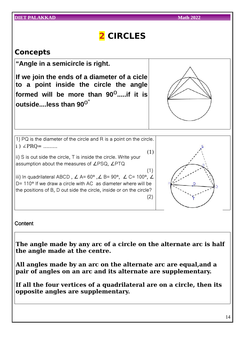| <b>DIET PALAKKAD</b>                                                                                                                           | <b>Math 2022</b> |
|------------------------------------------------------------------------------------------------------------------------------------------------|------------------|
| 2 CIRCLES                                                                                                                                      |                  |
| <b>Concepts</b>                                                                                                                                |                  |
| "Angle in a semicircle is right.                                                                                                               |                  |
| If we join the ends of a diameter of a cicle<br>to a point inside the circle the angle                                                         |                  |
| formed will be more than $90^0$ if it is<br>outsideless than $90^{\circ\circ}$                                                                 |                  |
|                                                                                                                                                |                  |
| 1) PQ is the diameter of the circle and R is a point on the circle.                                                                            |                  |
| $i)$ $\angle$ PRQ =                                                                                                                            | (1)              |
| ii) S is out side the circle, T is inside the circle. Write your<br>assumption about the measures of <i>LPSQ</i> , <i>LPTQ</i>                 |                  |
| iii) In quadrilateral ABCD, $\angle$ A= 60°, $\angle$ B= 90°, $\angle$ C= 100°, $\angle$                                                       | (1)              |
| $D = 110^{\circ}$ If we draw a circle with AC as diameter where will be<br>the positions of B, D out side the circle, inside or on the circle? | (2)              |
|                                                                                                                                                |                  |

**Content** 

**The angle made by any arc of a circle on the alternate arc is half the angle made at the centre.**

**All angles made by an arc on the alternate arc are equal,and a pair of angles on an arc and its alternate are supplementary.**

**If all the four vertices of a quadrilateral are on a circle, then its opposite angles are supplementary.**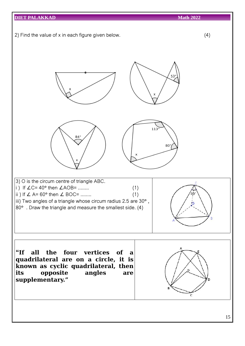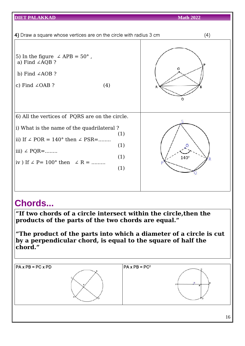| <b>DIET PALAKKAD</b>                                                                                                                                            |                          | <b>Math 2022</b> |     |
|-----------------------------------------------------------------------------------------------------------------------------------------------------------------|--------------------------|------------------|-----|
| 4) Draw a square whose vertices are on the circle with radius 3 cm                                                                                              |                          |                  | (4) |
| 5) In the figure $\angle$ APB = 50°,<br>a) Find $\angle AQB$ ?<br>b) Find $\angle AOB$ ?<br>(4)<br>c) Find $\angle$ OAB ?                                       |                          | O                |     |
| 6) All the vertices of PQRS are on the circle.                                                                                                                  |                          |                  |     |
| i) What is the name of the quadrilateral?<br>ii) If $\angle$ POR = 140° then $\angle$ PSR=<br>iii) $\angle$ PQR=<br>iv ) If $\angle$ P = 100° then $\angle$ R = | (1)<br>(1)<br>(1)<br>(1) | $140^\circ$      |     |
| <b>Chords</b>                                                                                                                                                   |                          |                  |     |

**"If two chords of a circle intersect within the circle,then the products of the parts of the two chords are equal."**

**"The product of the parts into which a diameter of a circle is cut by a perpendicular chord, is equal to the square of half the chord."**

| $\overline{PA}$ x PB = PC x PD | $\overline{PA}$ x PB = PC <sup>2</sup> |   |
|--------------------------------|----------------------------------------|---|
|                                |                                        | ٥ |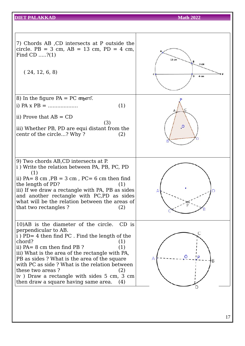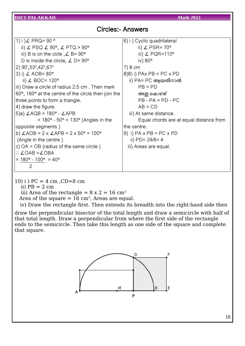| <b>Circles:- Answers</b> |  |
|--------------------------|--|
|--------------------------|--|

| 1) i ) $\angle$ PRQ= 90 °                                               | 6) i ) Cyclic quadrilateral             |
|-------------------------------------------------------------------------|-----------------------------------------|
| ii) $\angle$ PSQ $\angle$ 90°, $\angle$ PTQ > 90°                       | ii) $\angle$ PSR= 70 $^{\circ}$         |
| iii) B is on the cicle, $\angle$ B= 90°                                 | iii) $\angle$ PQR=110°                  |
| D is inside the circle, $\angle$ D > 90 $^{\circ}$                      | iv) $80^\circ$                          |
| 2) $90^{\circ}, 53^{\circ}, 42^{\circ}, 67^{\circ}$                     | 7) 8 cm                                 |
| 3) i) $\angle$ AOB= 80 $^{\circ}$                                       | $8(8)$ i) PAx PB = PC x PD              |
| ii) $\angle$ BOC= 120°                                                  | ii) PA= PC ആയതിനാൽ                      |
| iii) Draw a circle of radius 2.5 cm. Then mark                          | $PB = PD$                               |
| $60^{\circ}$ , 160 $^{\circ}$ at the centre of the circle then join the | അതു കൊണ്ട്                              |
| three points to form a triangle.                                        | $PB - PA = PD - PC$                     |
| 4) draw the figure.                                                     | $AB = CD$                               |
| 5)a) $\angle$ AQB = 180° - $\angle$ APB                                 | iii) At same distance.                  |
| $= 180^{\circ} - 50^{\circ} = 130^{\circ}$ (Angles in the               | Equal chords are at equal distance from |
| opposite segments)                                                      | the centre.                             |
| b) $\angle$ AOB = 2 x $\angle$ APB = 2 x 50° = 100°                     | 9) i) $PA \times PB = PC \times PD$     |
| (Angle in the centre)                                                   | ii) $PD = 24/6 = 4$                     |
| c) $OA = OB$ (radius of the same circle)                                | iii) Areas are equal.                   |
| $\therefore$ $\angle$ OAB = $\angle$ OBA                                |                                         |
| $= 180^{\circ} - 100^{\circ} = 40^{\circ}$                              |                                         |
| 2                                                                       |                                         |

10) i )  $PC = 4$  cm,  $CD = 8$  cm ii)  $PB = 2 cm$ iii) Area of the rectangle =  $8 \times 2 = 16 \text{ cm}^2$ Area of the square =  $16 \text{ cm}^2$ , Areas are equal.

iv) Draw the rectangle first. Then extends its breadth into the right-hand side then

draw the perpendicular bisector of the total length and draw a semicircle with half of that total length. Draw a perpendicular from where the first side of the rectangle ends to the semicircle. Then take this length as one side of the square and complete that square.



18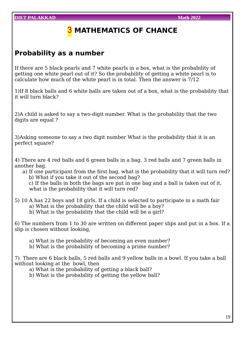### **MATHEMATICS OF CHANCE**

### **Probability as a number**

If there are 5 black pearls and 7 white pearls in a box, what is the probability of getting one white pearl out of it? So the probability of getting a white pearl is to calculate how much of the white pearl is in total. Then the answer is 7/12

1)If 8 black balls and 6 white balls are taken out of a box, what is the probability that it will turn black?

2)A child is asked to say a two-digit number. What is the probability that the two digits are equal ?

3)Asking someone to say a two digit number What is the probability that it is an perfect square?

4) There are 4 red balls and 6 green balls in a bag. 3 red balls and 7 green balls in another bag.

- a) If one participant from the first bag, what is the probability that it will turn red? b) What if you take it out of the second bag? c) If the balls in both the bags are put in one bag and a ball is taken out of it, what is the probability that it will turn red?
- 5) 10 A has 22 boys and 18 girls. If a child is selected to participate in a math fair a) What is the probability that the child will be a boy?
	- b) What is the probability that the child will be a girl?

6) The numbers from 1 to 30 are written on different paper slips and put in a box. If a slip is chosen without looking,

- a) What is the probability of becoming an even number?
- b) What is the probability of becoming a prime number?

7) There are 6 black balls, 5 red balls and 9 yellow balls in a bowl. If you take a ball without looking at the bowl, then

- a) What is the probability of getting a black ball?
- b) What is the probability of getting the yellow ball?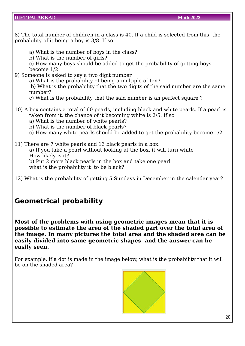8) The total number of children in a class is 40. If a child is selected from this, the probability of it being a boy is 3/8. If so

- a) What is the number of boys in the class?
- b) What is the number of girls?
- c) How many boys should be added to get the probability of getting boys become 1/2
- 9) Someone is asked to say a two digit number
	- a) What is the probability of being a multiple of ten?
	- b) What is the probability that the two digits of the said number are the same number?
	- c) What is the probability that the said number is an perfect square ?
- 10) A box contains a total of 60 pearls, including black and white pearls. If a pearl is taken from it, the chance of it becoming white is 2/5. If so
	- a) What is the number of white pearls?
	- b) What is the number of black pearls?
	- c) How many white pearls should be added to get the probability become 1/2
- 11) There are 7 white pearls and 13 black pearls in a box. a) If you take a pearl without looking at the box, it will turn white How likely is it? b) Put 2 more black pearls in the box and take one pearl what is the probability it to be black?
- 12) What is the probability of getting 5 Sundays in December in the calendar year?

### **Geometrical probability**

**Most of the problems with using geometric images mean that it is possible to estimate the area of the shaded part over the total area of the image. In many pictures the total area and the shaded area can be easily divided into same geometric shapes and the answer can be easily seen.**

For example, if a dot is made in the image below, what is the probability that it will be on the shaded area?

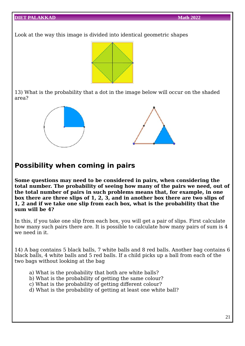Look at the way this image is divided into identical geometric shapes



13) What is the probability that a dot in the image below will occur on the shaded area?



### **Possibility when coming in pairs**

**Some questions may need to be considered in pairs, when considering the total number. The probability of seeing how many of the pairs we need, out of the total number of pairs in such problems means that, for example, in one box there are three slips of 1, 2, 3, and in another box there are two slips of 1, 2 and if we take one slip from each box, what is the probability that the sum will be 4?**

In this, if you take one slip from each box, you will get a pair of slips. First calculate how many such pairs there are. It is possible to calculate how many pairs of sum is 4 we need in it.

14) A bag contains 5 black balls, 7 white balls and 8 red balls. Another bag contains 6 black balls, 4 white balls and 5 red balls. If a child picks up a ball from each of the two bags without looking at the bag

- a) What is the probability that both are white balls?
- b) What is the probability of getting the same colour?
- c) What is the probability of getting different colour?
- d) What is the probability of getting at least one white ball?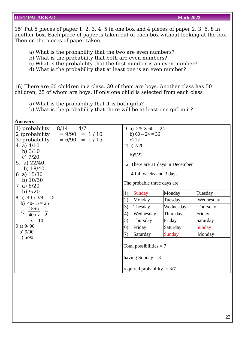15) Put 5 pieces of paper 1, 2, 3, 4, 5 in one box and 4 pieces of paper 2, 3, 6, 8 in another box. Each piece of paper is taken out of each box without looking at the box. Then on the pieces of paper taken.

a) What is the probability that the two are even numbers?

b) What is the probability that both are even numbers?

c) What is the probability that the first number is an even number?

d) What is the probability that at least one is an even number?

16) There are 60 children in a class. 30 of them are boys. Another class has 50 children, 25 of whom are boys. If only one child is selected from each class

a) What is the probability that it is both girls?

b) What is the probability that there will be at least one girl in it?

| Answers                                                                                                                                                                                                                 |                                                                                                                                                                               |                                                  |           |           |
|-------------------------------------------------------------------------------------------------------------------------------------------------------------------------------------------------------------------------|-------------------------------------------------------------------------------------------------------------------------------------------------------------------------------|--------------------------------------------------|-----------|-----------|
| 1) probability = $8/14 = 4/7$<br>2) probability = $9/90 = 1/10$<br>3) probability = $6/90 = 1/15$<br>4. a) $4/10$<br>b) $3/10$<br>c) $7/20$<br>5. a) $22/40$<br>b) $18/40$<br>6 a) $15/30$<br>b) $10/30$<br>7 a) $6/20$ | 10 a) $2/5 X 60 = 24$<br>b) $60 - 24 = 36$<br>c) $12$<br>11 a) $7/20$<br>b)5/22<br>12 There are 31 days in December<br>4 full weeks and 3 days<br>The probable three days are |                                                  |           |           |
| b) $9/20$                                                                                                                                                                                                               | 1)                                                                                                                                                                            | <b>Sunday</b>                                    | Monday    | Tuesday   |
| 8 a) $40 \times 3/8 = 15$                                                                                                                                                                                               | 2)                                                                                                                                                                            | Monday                                           | Tuesday   | Wednesday |
| b) $40-15 = 25$                                                                                                                                                                                                         | 3)                                                                                                                                                                            | Tuesday                                          | Wednesday | Thursday  |
| $\frac{15+x}{40+x} = \frac{1}{2}$<br>$\mathbf{C}$                                                                                                                                                                       | 4)                                                                                                                                                                            | Wednesday                                        | Thursday  | Friday    |
| $x = 10$                                                                                                                                                                                                                | 5)                                                                                                                                                                            | Thursday                                         | Friday    | Saturday  |
| 9a) 9/90                                                                                                                                                                                                                | $\vert 6)$                                                                                                                                                                    | Friday                                           | Saturday  | Sunday    |
| b) $9/90$<br>c) 6/90                                                                                                                                                                                                    | 7)                                                                                                                                                                            | Saturday                                         | Sunday    | Monday    |
|                                                                                                                                                                                                                         |                                                                                                                                                                               | Total possibilities $= 7$<br>having Sunday $=$ 3 |           |           |
|                                                                                                                                                                                                                         |                                                                                                                                                                               | required probability $= 3/7$                     |           |           |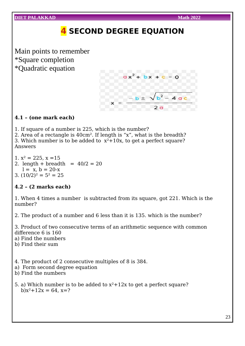

1. If square of a number is 225, which is the number?

2. Area of a rectangle is 40cm². If length is "x", what is the breadth? 3. Which number is to be added to  $x^2+10x$ , to get a perfect square? Answers

1.  $x^2 = 225$ ,  $x = 15$ 2. length + breadth =  $40/2 = 20$  $l = x, b = 20-x$ 3.  $(10/2)^2 = 5^2 = 25$ 

### **4.2 – (2 marks each)**

1. When 4 times a number is subtracted from its square, got 221. Which is the number?

2. The product of a number and 6 less than it is 135. which is the number?

3. Product of two consecutive terms of an arithmetic sequence with common difference 6 is 160

- a) Find the numbers
- b) Find their sum
- 4. The product of 2 consecutive multiples of 8 is 384.
- a) Form second degree equation
- b) Find the numbers
- 5. a) Which number is to be added to  $x^2 + 12x$  to get a perfect square? b) $x^2+12x = 64$ ,  $x=?$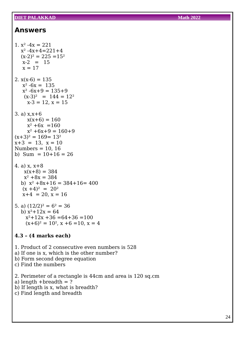#### **Answers**

```
1. x^2 -4x = 221x^2 -4x+4=221+4(x-2)^2 = 225 = 15^2x-2 = 15x = 172. x(x-6) = 135x^2 -6x = 135x^2 -6x + 9 = 135 + 9(x-3)^2 = 144 = 12^2x-3 = 12, x = 153. a) x,x+6
    x(x+6) = 160x^2 +6x = 160x^2 +6x+9 = 160+9(x+3)^2 = 169 = 13^2x+3 = 13, x = 10Numbers = 10, 16b) Sum = 10+16 = 264. a) x, x+8
   x(x+8) = 384x^2 +8x = 384b) x^2 +8x+16 = 384+16 = 400(x + 4)^2 = 20^2x+4 = 20, x = 165. a) (12/2)^2 = 6^2 = 36b) x^2+12x = 64x^2+12x+36 = 64+36 = 100(x+6)^2 = 10^2, x +6 = 10, x = 44.3 – (4 marks each)
1. Product of 2 consecutive even numbers is 528
a) If one is x, which is the other number?
b) Form second degree equation
c) Find the numbers
2. Perimeter of a rectangle is 44cm and area is 120 sq.cm
a) length +breadth = ?b) If length is x, what is breadth?
```

```
c) Find length and breadth
```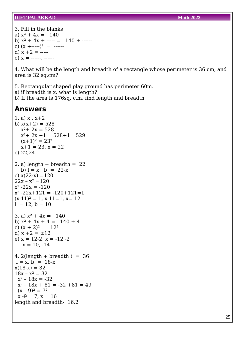3. Fill in the blanks a)  $x^2 + 4x = 140$ b)  $x^2 + 4x + \cdots = 140 + \cdots$ c)  $(x + \cdots)^2 = \cdots$ d)  $x + 2 =$  ----e)  $x =$  ------, ------

4. What will be the length and breadth of a rectangle whose perimeter is 36 cm, and area is 32 sq.cm?

5. Rectangular shaped play ground has perimeter 60m. a) if breadth is x, what is length? b) If the area is 176sq. c.m, find length and breadth

#### **Answers**

```
1. a) x, x+2b) x(x+2) = 528x^2+ 2x = 528
  x^2+ 2x +1 = 528+1 = 529
  (x+1)^2 = 23^2x+1 = 23, x = 22c) 22,24
2. a) length + breadth = 22b) l = x, b = 22-xc) x(22-x) = 12022x - x^2 = 120x^2 - 22x = -120x^2 - 22x + 121 = -120 + 121 = 1(x-11)^2 = 1, x-11=1, x=12l = 12, b = 103. a) x^2 + 4x = 140b) x^2 + 4x + 4 = 140 + 4c) (x + 2)^2 = 12^2d) x + 2 = \pm 12e) x = 12-2, x = -12-2x = 10, -144. 2(length + breadth) = 36l = x, b = 18-xx(18-x) = 3218x - x^2 = 32x^2 - 18x = -32x^2 - 18x + 81 = -32 + 81 = 49(x - 9)^2 = 7^2x - 9 = 7, x = 16length and breadth- 16,2
```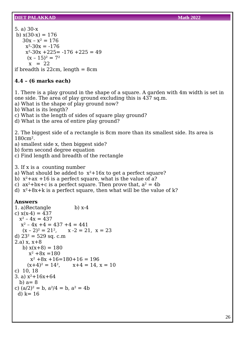5. a) 30-x b)  $x(30-x) = 176$  $30x - x^2 = 176$  $x^2-30x = -176$  $x^2-30x +225 = -176 +225 = 49$  $(x - 15)^2 = 7^2$  $x = 22$ if breadth is  $22cm$ , length =  $8cm$ 

#### **4.4 – (6 marks each)**

1. There is a play ground in the shape of a square. A garden with 4m width is set in one side. The area of play ground excluding this is 437 sq.m.

a) What is the shape of play ground now?

b) What is its length?

c) What is the length of sides of square play ground?

d) What is the area of entire play ground?

2. The biggest side of a rectangle is 8cm more than its smallest side. Its area is 180cm².

- a) smallest side x, then biggest side?
- b) form second degree equation
- c) Find length and breadth of the rectangle
- 3. If x is a counting number
- a) What should be added to  $x^2+16x$  to get a perfect square?
- b)  $x^2+ax +16$  is a perfect square, what is the value of a?
- c)  $ax^2 + bx + c$  is a perfect square. Then prove that,  $a^2 = 4b$
- d)  $x^2+8x+k$  is a perfect square, then what will be the value of k?

#### **Answers**

```
1. a)Rectangle b) x-4
c) x(x-4) = 437x^2 - 4x = 437x^2 - 4x + 4 = 437 + 4 = 441(x - 2)^2 = 21^2, x - 2 = 21, x = 23d) 23^2 = 529 sq. c.m
(2.a) x, x+8b) x(x+8) = 180x^2 + 8x = 180x^2 +8x +16=180+16=196(x+4)^2 = 14^2, x+4 = 14, x = 10c) 10, 18
3. a) x^2+16x+64b) a=8c) (a/2)^2 = b, a^2/4 = b, a^2 = 4bd) k=16
```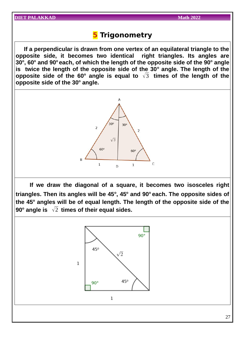### **5 Trigonometry**

 **If a perpendicular is drawn from one vertex of an equilateral triangle to the opposite side, it becomes two identical right triangles. Its angles are 30<sup>o</sup> , 60<sup>o</sup> and 90<sup>o</sup>each, of which the length of the opposite side of the 90<sup>o</sup> angle is twice the length of the opposite side of the 30<sup>o</sup> angle. The length of the opposite side of the 60<sup>o</sup> angle is equal to** √3 **times of the length of the opposite side of the 30<sup>o</sup> angle.**



 **If we draw the diagonal of a square, it becomes two isosceles right triangles. Then its angles will be 45<sup>o</sup> , 45<sup>o</sup> and 90<sup>o</sup>each. The opposite sides of the 45<sup>o</sup> angles will be of equal length. The length of the opposite side of the 90<sup>o</sup> angle is** √2 **times of their equal sides.**

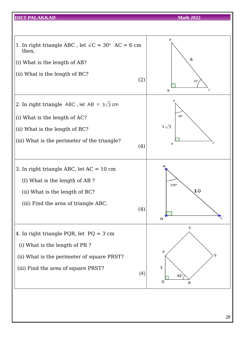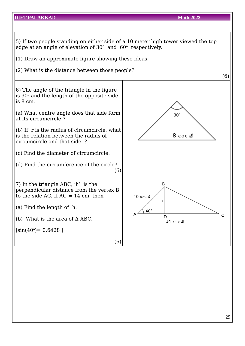### **DIET PALAKKAD Math 2022** 5) If two people standing on either side of a 10 meter high tower viewed the top edge at an angle of elevation of  $30^{\circ}$  and  $60^{\circ}$  respectively. (1) Draw an approximate figure showing these ideas. (2) What is the distance between those people? (6) 6) The angle of the triangle in the figure is 30 $^{\rm o}$  and the length of the opposite side is 8 cm. (a) What centre angle does that side form  $30^\circ$ at its circumcircle ? (b) If r is the radius of circumcircle, what is the relation between the radius of 8 സെ മീ circumcircle and that side ? (c) Find the diameter of circumcircle. (d) Find the circumference of the circle? (6) B 7) In the triangle ABC, 'h' is the perpendicular distance from the vertex B to the side AC. If  $AC = 14$  cm, then  $10 \,$ സെ മീ h (a) Find the length of h.  $40<sup>0</sup>$  $\mathsf{C}$ D (b) What is the area of Δ ABC. 14 സെ മീ  $[sin(40^{\circ})= 0.6428]$ (6)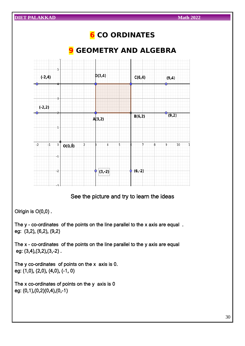

See the picture and try to learn the ideas

Olrigin is O(0,0) .

The y – co-ordinates of the points on the line parallel to the x axis are equal . eg: (3,2), (6,2), (9,2)

The x – co-ordinates of the points on the line parallel to the y axis are equal eg: (3,4),(3,2),(3,-2) .

The y co-ordinates of points on the  $x$  axis is 0. eg: (1,0), (2,0), (4,0), (-1, 0)

The x co-ordinates of points on the y axis is 0 eg: (0,1),(0,2)(0,4),(0,-1)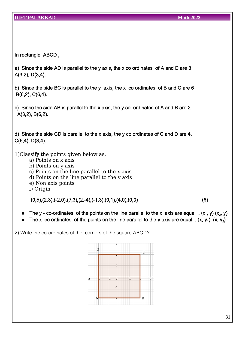In rectangle ABCD ,

- a) Since the side AD is parallel to the y axis, the x co ordinates of A and D are 3 A(3,2), D(3,4).
- b) Since the side BC is parallel to the y axis, the x co ordinates of B and C are 6 B(6,2), C(6,4).
- c) Since the side AB is parallel to the x axis, the y co ordinates of A and B are 2 A(3,2), B(6,2).

d) Since the side CD is parallel to the x axis, the y co ordinates of C and D are 4. C(6,4), D(3,4).

1)Classify the points given below as,

- a) Points on x axis
- b) Points on y axis
- c) Points on the line parallel to the x axis
- d) Points on the line parallel to the y axis
- e) Non axis points
- f) Origin

 $(0,5), (2,3), (-2,0), (7,3), (2,-4), (-1,3), (0,1), (4,0), (0,0)$  (6)

- **The y** co-ordinates of the points on the line parallel to the x axis are equal  $( x_1, y) (x_2, y)$
- $\blacksquare$  The x co ordinates of the points on the line parallel to the y axis are equal  $\ldots$  (x, y<sub>1</sub>) (x, y<sub>2</sub>)

2) Write the co-ordinates of the corners of the square ABCD?

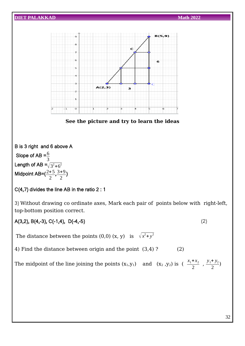

A(3,2), B(4,-3), C(-1,4), D(-4,-5) (2)

The distance between the points (0,0) (x, y) is  $\sqrt{x^2+y^2}$ 

4) Find the distance between origin and the point (3,4)? (2)

The midpoint of the line joining the points  $(x_1,y_1)$  and  $(x_2, y_2)$  is  $(\frac{x_1 + x_2}{2})$ 2  $y_1 + y_2$ 2 )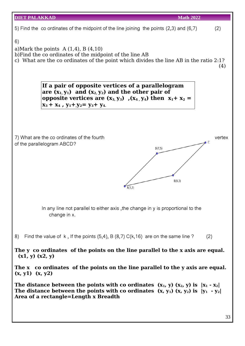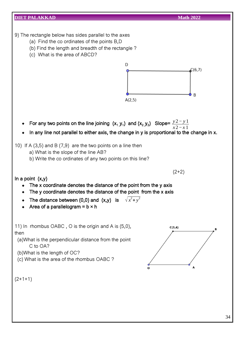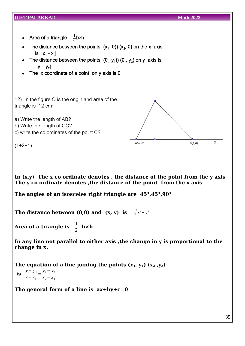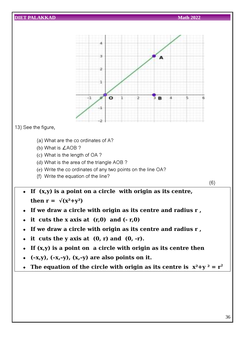

13) See the figure,

- (a) What are the co ordinates of A?
- (b) What is ∠AOB ?
- (c) What is the length of OA ?
- (d) What is the area of the triangle AOB ?
- (e) Write the co ordinates of any two points on the line OA?
- (f) Write the equation of the line?

(6)

- **If (x,y) is a point on a circle with origin as its centre,** then  $r = \sqrt{x^2+y^2}$
- **If we draw a circle with origin as its centre and radius r ,**
- $\div$  it cuts the x axis at  $(r,0)$  and  $(-r,0)$
- **If we draw a circle with origin as its centre and radius r ,**
- $\bullet$  it cuts the y axis at  $(0, r)$  and  $(0, -r)$ .
- **If (x,y) is a point on a circle with origin as its centre then**
- $\leftarrow$  (-x,y), (-x,-y), (x,-y) are also points on it.
- The equation of the circle with origin as its centre is  $x^2 + y^2 = r^2$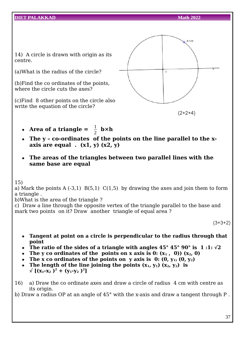14) A circle is drawn with origin as its centre.

(a)What is the radius of the circle?

(b)Find the co ordinates of the points, where the circle cuts the axes?

(c)Find 8 other points on the circle also write the equation of the circle?



- Area of a triangle =  $\frac{1}{2}$  **b**×**h**
- **The y co-ordinates of the points on the line parallel to the x**axis are equal  $(x1, y)$   $(x2, y)$
- **The areas of the triangles between two parallel lines with the same base are equal**

15)

a) Mark the points A  $(-3,1)$  B $(5,1)$  C $(1,5)$  by drawing the axes and join them to form a triangle .

b)What is the area of the triangle ?

c) Draw a line through the opposite vertex of the triangle parallel to the base and mark two points on it? Draw another triangle of equal area ?

 $(3+3+2)$ 

- **Tangent at point on a circle is perpendicular to the radius through that point**
- **The ratio of the sides of a triangle with angles**  $45^{\circ} 45^{\circ} 90^{\circ}$  **is 1:1:**  $\sqrt{2}$
- The y co ordinates of the points on x axis is  $0: (x_1, 0)) (x_2, 0)$
- The x co ordinates of the points on y axis is  $0: (0, v_1, (0, v_2))$
- The length of the line joining the points  $(x_1, y_1)$   $(x_2, y_2)$  is  $\sqrt{(x_1-x_2)^2+(y_1-y_2)^2}$
- 16) a) Draw the co ordinate axes and draw a circle of radius 4 cm with centre as its origin.

b) Draw a radius OP at an angle of 45° with the x-axis and draw a tangent through P .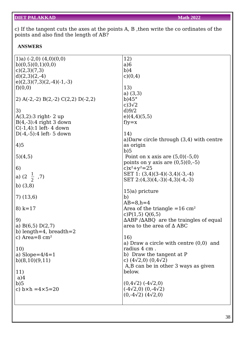c) If the tangent cuts the axes at the points A, B ,then write the co ordinates of the points and also find the length of AB?

#### **ANSWERS**

| 1)a) $(-2,0)$ $(4,0)(0,0)$         | 12)                                                          |
|------------------------------------|--------------------------------------------------------------|
| b)(0,5)(0,1)(0,0)                  | a)6                                                          |
| c(2,3)(7,3)                        | b)4                                                          |
| $d(2,3)(2,-4)$                     | c)(0,4)                                                      |
| $e(2,3)(7,3)(2,-4)(-1,-3)$         |                                                              |
|                                    |                                                              |
| f(0,0)                             | 13)                                                          |
|                                    | a) $(3,3)$                                                   |
| 2) A(-2,-2) B(2,-2) C(2,2) D(-2,2) | b)45°                                                        |
|                                    | c) $3\sqrt{2}$                                               |
| 3)                                 | $d$ )9/2                                                     |
| $A(3,2):3$ right- 2 up             | e)(4,4)(5,5)                                                 |
| $B(4,-3):4$ right 3 down           | $f$ ) $y=x$                                                  |
| $C(-1,4):1$ left-4 down            |                                                              |
| $D(-4,-5):4$ left- 5 down          | 14)                                                          |
|                                    | a) Darw circle through $(3,4)$ with centre                   |
| 4)5                                | as origin                                                    |
|                                    | b)5                                                          |
| 5)(4,5)                            | Point on x axis are $(5,0)(-5,0)$                            |
|                                    |                                                              |
|                                    | points on y axis are $(0,5)(0,-5)$                           |
| 6)                                 | c) $x^2+y^2=25$                                              |
| a) $(2\frac{1}{2}, 7)$             | SET 1: $(3,4)(3-4)(-3,4)(-3,-4)$                             |
|                                    | SET $2:(4,3)(4,-3)(-4,3)(-4,-3)$                             |
| b) $(3,8)$                         |                                                              |
|                                    | 15)a) pricture                                               |
| $7)$ $(13,6)$                      | b)                                                           |
|                                    | $AB = 8, h = 4$                                              |
| 8) $k=17$                          | Area of the triangle $=16$ cm <sup>2</sup>                   |
|                                    | c) $P(1,5) Q(6,5)$                                           |
| 9)                                 | $\triangle$ ABP / $\triangle$ ABQ are the traingles of equal |
| a) $B(6,5) D(2,7)$                 | area to the area of $\Delta$ ABC                             |
| b) length=4, breadth=2             |                                                              |
| c) Area= $8 \text{ cm}^2$          | 16)                                                          |
|                                    |                                                              |
|                                    | a) Draw a circle with centre $(0,0)$ and                     |
| 10)                                | radius 4 cm.                                                 |
| a) Slope= $4/4=1$                  | b) Draw the tangent at P                                     |
| b)(8,10)(9,11)                     | c) $(4\sqrt{2},0)$ $(0,4\sqrt{2})$                           |
|                                    | A,B can be in other 3 ways as given                          |
| 11)                                | below.                                                       |
| a)4                                |                                                              |
| b)5                                | $(0.4\sqrt{2})$ (-4 $\sqrt{2}$ ,0)                           |
| c) $b \times h = 4 \times 5 = 20$  | $(-4\sqrt{2},0)$ $(0,-4\sqrt{2})$                            |
|                                    | $(0,-4\sqrt{2})$ $(4\sqrt{2},0)$                             |
|                                    |                                                              |
|                                    |                                                              |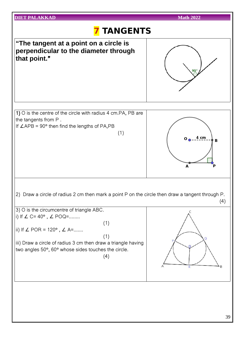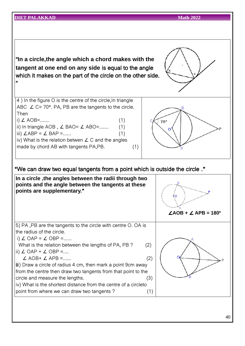| ET PALAKKAD                                                                                                                                                                                                                                                                                                                                                                                                                                                                                                                                                                  | <b>Math 2022</b>                      |
|------------------------------------------------------------------------------------------------------------------------------------------------------------------------------------------------------------------------------------------------------------------------------------------------------------------------------------------------------------------------------------------------------------------------------------------------------------------------------------------------------------------------------------------------------------------------------|---------------------------------------|
|                                                                                                                                                                                                                                                                                                                                                                                                                                                                                                                                                                              |                                       |
| "In a circle, the angle which a chord makes with the<br>tangent at one end on any side is equal to the angle<br>which it makes on the part of the circle on the other side.<br>$\mathbf{u}$                                                                                                                                                                                                                                                                                                                                                                                  |                                       |
| 4) In the figure O is the centre of the circle, In triangle<br>ABC $\angle$ C= 70°. PA, PB are the tangents to the circle.<br>Then<br>i) $\angle$ AOB=<br>(1)<br>ii) In triangle AOB, $\angle$ BAO= $\angle$ ABO=<br>(1)<br>iii) $\angle$ ABP = $\angle$ BAP =<br>(1)<br>iv) What is the relation betwen $\angle$ C and the angles<br>made by chord AB with tangents PA, PB.<br>(1)                                                                                                                                                                                          | $70^{\circ}$                          |
| "We can draw two equal tangents from a point which is outside the circle."<br>In a circle, the angles between the radii through two<br>points and the angle between the tangents at these<br>points are supplementary."                                                                                                                                                                                                                                                                                                                                                      | $\angle AOB + \angle APB = 180^\circ$ |
| 5) PA, PB are the tangents to the circle with centre O. OA is<br>the radius of the circle.<br>i) $\angle$ OAP = $\angle$ OBP =<br>What is the relation between the lengths of PA, PB?<br>(2)<br>ii) $\angle$ OAP + $\angle$ OBP =<br>$\angle$ AOB+ $\angle$ APB =<br>(2)<br>iii) Draw a circle of radius 4 cm, then mark a point 9cm away<br>from the centre then draw two tangents from that point to the<br>circle and measure the lengths.<br>(3)<br>iv) What is the shortest distance from the centre of a circleto<br>point from where we can draw two tangents?<br>(1) |                                       |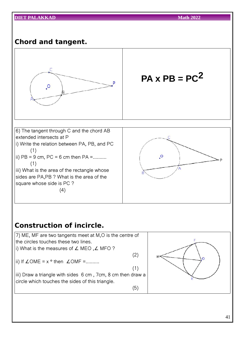### **Chord and tangent.**



### **Construction of incircle.**

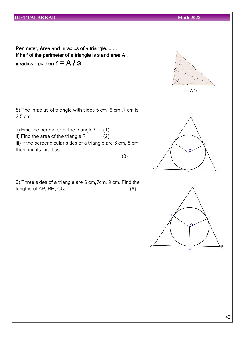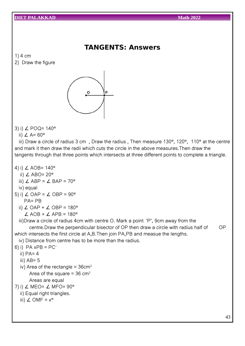2) Draw the figure

### **TANGENTS: Answers**

- 1) 4 cm
- $\circ$ P
- 3) i) ∠ POQ= 140°
	- ii)  $\angle$  A= 60°

iii) Draw a circle of radius 3 cm , Draw the radius , Then measure 130°, 120°, 110° at the centre and mark it then draw the radii which cuts the circle in the above measures.Then draw the tangents through that three points which intersects at three different points to complete a triangle.

- 4) i) ∠ AOB= 140°
	- ii)  $∠$  ABO= 20 $^{\circ}$
	- iii)  $\angle$  ABP =  $\angle$  BAP = 70°
	- iv) equal
- 5) i)  $\angle$  OAP =  $\angle$  OBP = 90° PA= PB
	- ii)  $\angle$  OAP +  $\angle$  OBP = 180°  $\angle$  AOB +  $\angle$  APB = 180°
	- iii)Draw a circle of radius 4cm with centre O. Mark a point 'P', 9cm away from the

centre.Draw the perpendicular bisector of OP then draw a circle with radius half of OP which intersects the first circle at A,B.Then join PA,PB and measue the lengths.

- iv) Distance from centre has to be more than the radius.
- 6) i)  $PA \times PB = PC^2$ 
	- ii)  $PA=4$
	- iii)  $AB = 5$
	- iv) Area of the rectangle =  $36 \text{cm}^2$ Area of the square =  $36 \text{ cm}^2$ Areas are equal
- 7) i)  $\angle$  MEO=  $\angle$  MFO= 90°
	- ii) Equal right triangles.
	- iii)  $∠$  OMF =  $x^{\circ}$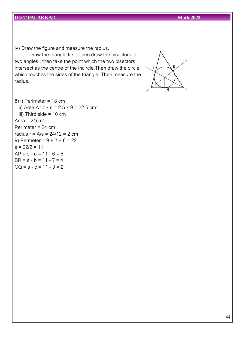iv) Draw the figure and measure the radius.

Draw the triangle first. Then draw the bisectors of two angles , then take the point which the two bisectors intersect as the centre of the incircle.Then draw the circle which touches the sides of the triangle. Then measure the radius.



8) i) Perimeter = 18 cm ii) Area A=  $r \times s = 2.5 \times 9 = 22.5 \text{ cm}^2$ iii) Third side = 10 cm Area =  $24 \text{cm}^2$ Perimeter = 24 cm radius r = A/s = 24/12 = 2 cm 9) Permeter =  $9 + 7 + 6 = 22$  $s = 22/2 = 11$  $AP = s - a = 11 - 6 = 5$  $BR = s - b = 11 - 7 = 4$  $CQ = s - c = 11 - 9 = 2$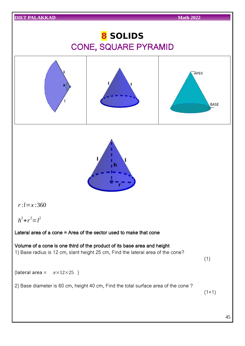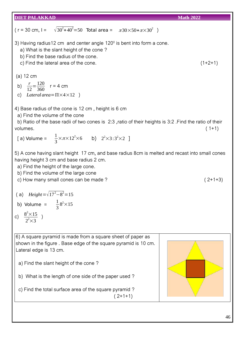|                                                                                                                                                                                                                                                                                                            | <b>Math 2022</b> |
|------------------------------------------------------------------------------------------------------------------------------------------------------------------------------------------------------------------------------------------------------------------------------------------------------------|------------------|
| ( $r = 30$ cm, $l = \sqrt{30^2 + 40^2} = 50$ Total area = $\pi 30 \times 50 + \pi \times 30^2$ )                                                                                                                                                                                                           |                  |
| 3) Having radius 12 cm and center angle $120^\circ$ is bent into form a cone.<br>a) What is the slant height of the cone?<br>b) Find the base radius of the cone.<br>c) Find the lateral area of the cone.                                                                                                 | $(1+2+1)$        |
| $(a)$ 12 cm<br>b) $\frac{r}{12} = \frac{120}{360}$ r = 4 cm<br>c) Lateral area = $\Pi \times 4 \times 12$ )                                                                                                                                                                                                |                  |
| 4) Base radius of the cone is 12 cm, height is 6 cm<br>a) Find the volume of the cone<br>b) Ratio of the base radii of two cones is 2:3, ratio of their heights is 3:2. Find the ratio of their<br>volumes.<br>[a) Volume = $\frac{1}{3} \times \pi \times 12^2 \times 6$ b) $2^2 \times 3:3^2 \times 2$ ] | $(1+1)$          |
| 5) A cone having slant height 17 cm, and base radius 8cm is melted and recast into small cones<br>having height 3 cm and base radius 2 cm.<br>a) Find the height of the large cone.<br>b) Find the volume of the large cone<br>c) How many small cones can be made?                                        | $(2+1+3)$        |
| (a) Height = $\sqrt{17^2 - 8^2}$ = 15<br>b) Volume = $\frac{1}{3}8^2 \times 15$<br>c) $\frac{8^2 \times 15}{2^2 \times 3}$ )                                                                                                                                                                               |                  |
| 6) A square pyramid is made from a square sheet of paper as<br>shown in the figure. Base edge of the square pyramid is 10 cm.<br>Lateral edge is 13 cm.<br>a) Find the slant height of the cone?                                                                                                           |                  |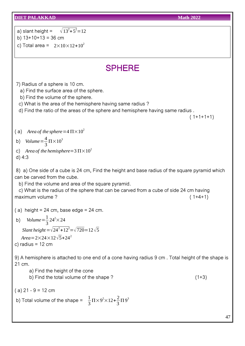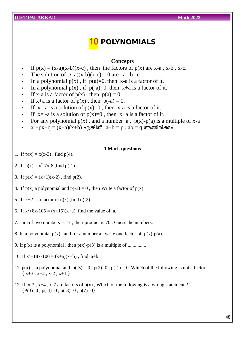### 10 **POLYNOMIALS**

#### **Concepts**

- If  $p(x) = (x-a)(x-b)(x-c)$ , then the factors of  $p(x)$  are  $x-a$ ,  $x-b$ ,  $x-c$ .
- The solution of  $(x-a)(x-b)(x-c) = 0$  are , a, b, c
- In a polynomial  $p(x)$ , if  $p(a)=0$ , then x-a is a factor of it.
- In a polynomial  $p(x)$ , if  $p(-a)=0$ , then  $x+a$  is a factor of it.
- If x-a is a factor of  $p(x)$ , then  $p(a) = 0$ .
- If  $x+a$  is a factor of  $p(x)$ , then  $p(-a) = 0$ .
- If  $x=$  a is a solution of  $p(x)=0$ , then x-a is a factor of it.
- If  $x=$  -a is a solution of  $p(x)=0$ , then  $x+a$  is a factor of it.
- For any polynomial  $p(x)$ , and a number a,  $p(x)-p(a)$  is a multiple of x-a
- $\cdot$   $x^2+px+q = (x+a)(x+b)$  എങ്കിൽ  $a+b = p$ ,  $ab = q$  ആയിരിക്കം.

#### **1 Mark questions**

- 1. If  $p(x) = x(x-3)$ , find  $p(4)$ .
- 2. If  $p(x) = x^2-7x-8$ , find  $p(-1)$ .
- 3. If  $p(x) = (x+1)(x-2)$ , find  $p(2)$ .
- 4. If  $p(x)$  a polynomial and  $p(-3) = 0$ , then Write a factor of  $p(x)$ .
- 5. If  $x+2$  is a factor of  $q(x)$ , find  $q(-2)$ .
- 6. If  $x^2+8x-105 = (x+15)(x+a)$ , find the value of a.
- 7. sum of two numbers is 17 , their product is 70 , Guess the numbers.
- 8. In a polynomial  $p(x)$ , and for a number a, write one factor of  $p(x)$ -p(a).
- 9. If p(x) is a polynomial , then p(x)-p(3) is a multiple of ...............
- 10. If  $x^2+18x-100 = (x+a)(x+b)$ , find  $a+b$
- 11.  $p(x)$  is a polynomial and  $p(-3) = 0$ ,  $p(2)=0$ ,  $p(-1) = 0$ . Which of the following is not a factor  $\{x+3, x+2, x-2, x+1\}$
- 12. If  $x-3$ ,  $x+4$ ,  $x-7$  are factors of  $p(x)$ , Which of the following is a wrong statement?  ${P(3)=0, p(-4)=0, p(-3)=0, p(7)=0}$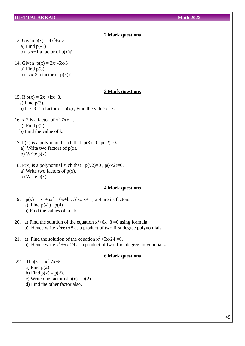### **2 Mark questions**

13. Given  $p(x) = 4x^2+x-3$ a) Find  $p(-1)$ b) Is  $x+1$  a factor of  $p(x)$ ?

14. Given  $p(x) = 2x^2 - 5x - 3$ a) Find p(3). b) Is  $x-3$  a factor of  $p(x)$ ?

#### **3 Mark questions**

15. If  $p(x) = 2x^2 + kx + 3$ . a) Find p(3). b) If  $x-3$  is a factor of  $p(x)$ , Find the value of k.

16. x-2 is a factor of  $x^3$ -7x+ k. a) Find p(2). b) Find the value of k.

17.  $P(x)$  is a polynomial such that  $p(3)=0$ ,  $p(-2)=0$ .

a) Write two factors of  $p(x)$ . b) Write  $p(x)$ .

18. P(x) is a polynomial such that  $p(\sqrt{2})=0$ ,  $p(-\sqrt{2})=0$ . a) Write two factors of  $p(x)$ . b) Write  $p(x)$ .

#### **4 Mark questions**

19.  $p(x) = x^3 + ax^2 - 10x + b$ , Also  $x + 1$ , x-4 are its factors. a) Find  $p(-1)$ ,  $p(4)$ b) Find the values of a , b.

- 20. a) Find the solution of the equation  $x^2+6x+8=0$  using formula. b) Hence write  $x^2+6x+8$  as a product of two first degree polynomials.
- 21. a) Find the solution of the equation  $x^2+5x-24=0$ . b) Hence write  $x^2 + 5x-24$  as a product of two first degree polynomials.

#### **6 Mark questions**

22. If  $p(x) = x^2-7x+5$ a) Find p(2).

b) Find  $p(x) - p(2)$ .

- c) Write one factor of  $p(x) p(2)$ .
- d) Find the other factor also.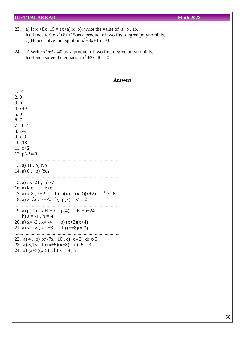I

| 23.<br>a) If $x^2+8x+15 = (x+a)(x+b)$ , write the value of $a+b$ , ab.<br>b) Hence write $x^2+8x+15$ as a product of two first degree polynomials.<br>c) Hence solve the equation $x^2+8x+15 = 0$ . |
|-----------------------------------------------------------------------------------------------------------------------------------------------------------------------------------------------------|
| a) Write $x^2 + 3x - 40$ as a product of two first degree polynomials.<br>24.<br>b) Hence solve the equation $x^2 + 3x - 40 = 0$ .                                                                  |
| <b>Answers</b>                                                                                                                                                                                      |
| $1. -4$<br>2.0<br>3.0<br>4. $x+3$<br>5.0<br>6.7<br>7.10,7<br>8. x-a<br>$9. x - 3$<br>10.18<br>$11. x+2$<br>12. $p(-3)=0$<br>13. a) $11$ , b) No<br>14. a) $0, b)$ Yes                               |
| 15. a) $3k+21$ , b) -7<br>16. a) $k-6$ , b) 6<br>17. a) $x-3$ , $x+2$ , b) $p(x) = (x-3)(x+2) = x^2 - x - 6$<br>18. a) $x-\sqrt{2}$ , $x+\sqrt{2}$ b) $p(x) = x^2 - 2$                              |
| 19. a) $p(-1) = a+b+9$ , $p(4) = 16a+b+24$<br>b) $a = -1$ , $b = -8$<br>20. a) $x=-2$ , $x=-4$ , b) $(x+2)(x+4)$<br>21. a) $x = -8$ , $x = +3$ , b) $(x+8)(x-3)$                                    |
| 22. a) 4, b) $x^2-7x+10$ , c) $x-2$ d) $x-5$<br>23. a) $8,15$ , b) $(x+5)(x+3)$ , c) -5, -3<br>24. a) $(x+8)(x-5)$ , b) $x=-8$ , 5                                                                  |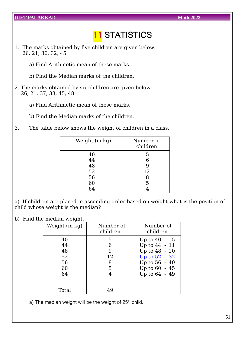## **11 STATISTICS**

- 1. The marks obtained by five children are given below. 26, 21, 36, 32, 45
	- a) Find Arithmetic mean of these marks.
	- b) Find the Median marks of the children.
- 2. The marks obtained by six children are given below. 26, 21, 37, 33, 45, 48
	- a) Find Arithmetic mean of these marks.
	- b) Find the Median marks of the children.
- 3. The table below shows the weight of children in a class.

| Weight (in kg) | Number of<br>children |
|----------------|-----------------------|
| 40             | 5                     |
| 44             | 6                     |
| 48             |                       |
| 52             | 12                    |
| 56             | 8                     |
| 60             | 5                     |
| 6Δ             |                       |
|                |                       |

a) If children are placed in ascending order based on weight what is the position of child whose weight is the median?

b) Find the median weight.

| Weight (in kg)                         | Number of<br>children       | Number of<br>children                                                                                                |
|----------------------------------------|-----------------------------|----------------------------------------------------------------------------------------------------------------------|
| 40<br>44<br>48<br>52<br>56<br>60<br>64 | 5<br>6<br>9<br>12<br>8<br>5 | Up to $40 - 5$<br>Up to 44 - 11<br>Up to 48 - 20<br>Up to 52 - 32<br>Up to 56 - 40<br>Up to 60 - 45<br>Up to 64 - 49 |
| Total                                  |                             |                                                                                                                      |

a) The median weight will be the weight of  $25<sup>th</sup>$  child.